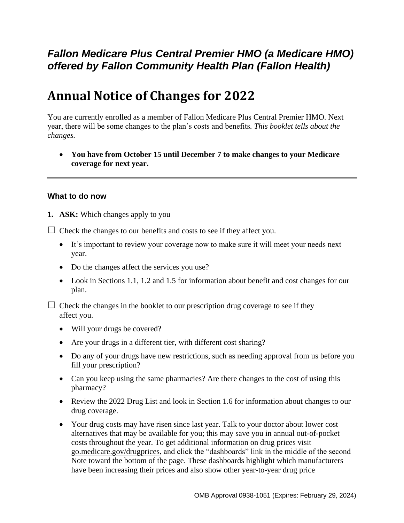## *Fallon Medicare Plus Central Premier HMO (a Medicare HMO) offered by Fallon Community Health Plan (Fallon Health)*

# **Annual Notice of Changes for 2022**

You are currently enrolled as a member of Fallon Medicare Plus Central Premier HMO. Next year, there will be some changes to the plan's costs and benefits*. This booklet tells about the changes.*

 **You have from October 15 until December 7 to make changes to your Medicare coverage for next year.**

#### **What to do now**

**1. ASK:** Which changes apply to you

 $\Box$  Check the changes to our benefits and costs to see if they affect you.

- It's important to review your coverage now to make sure it will meet your needs next year.
- Do the changes affect the services you use?
- Look in Sections 1.1, 1.2 and 1.5 for information about benefit and cost changes for our plan.

 $\Box$  Check the changes in the booklet to our prescription drug coverage to see if they affect you.

- Will your drugs be covered?
- Are your drugs in a different tier, with different cost sharing?
- Do any of your drugs have new restrictions, such as needing approval from us before you fill your prescription?
- Can you keep using the same pharmacies? Are there changes to the cost of using this pharmacy?
- Review the 2022 Drug List and look in Section 1.6 for information about changes to our drug coverage.
- Your drug costs may have risen since last year. Talk to your doctor about lower cost alternatives that may be available for you; this may save you in annual out-of-pocket costs throughout the year. To get additional information on drug prices visit [go.medicare.gov/drugprices,](https://go.medicare.gov/drugprices) and click the "dashboards" link in the middle of the second Note toward the bottom of the page. These dashboards highlight which manufacturers have been increasing their prices and also show other year-to-year drug price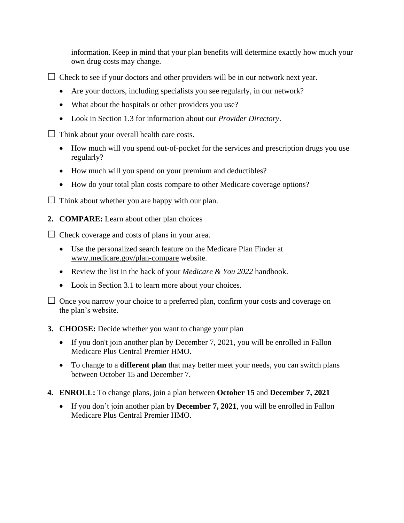information. Keep in mind that your plan benefits will determine exactly how much your own drug costs may change.

 $\Box$  Check to see if your doctors and other providers will be in our network next year.

- Are your doctors, including specialists you see regularly, in our network?
- What about the hospitals or other providers you use?
- Look in Section 1.3 for information about our *Provider Directory*.

 $\Box$  Think about your overall health care costs.

- How much will you spend out-of-pocket for the services and prescription drugs you use regularly?
- How much will you spend on your premium and deductibles?
- How do your total plan costs compare to other Medicare coverage options?
- $\Box$  Think about whether you are happy with our plan.
- **2. COMPARE:** Learn about other plan choices

 $\Box$  Check coverage and costs of plans in your area.

- Use the personalized search feature on the Medicare Plan Finder at [www.medicare.gov/plan-compare](http://www.medicare.gov/plan-compare) website.
- Review the list in the back of your *Medicare & You 2022* handbook.
- Look in Section 3.1 to learn more about your choices.

#### **3. CHOOSE:** Decide whether you want to change your plan

- If you don't join another plan by December 7, 2021, you will be enrolled in Fallon Medicare Plus Central Premier HMO.
- To change to a **different plan** that may better meet your needs, you can switch plans between October 15 and December 7.
- **4. ENROLL:** To change plans, join a plan between **October 15** and **December 7, 2021**
	- If you don't join another plan by **December 7, 2021**, you will be enrolled in Fallon Medicare Plus Central Premier HMO.

 $\Box$  Once you narrow your choice to a preferred plan, confirm your costs and coverage on the plan's website.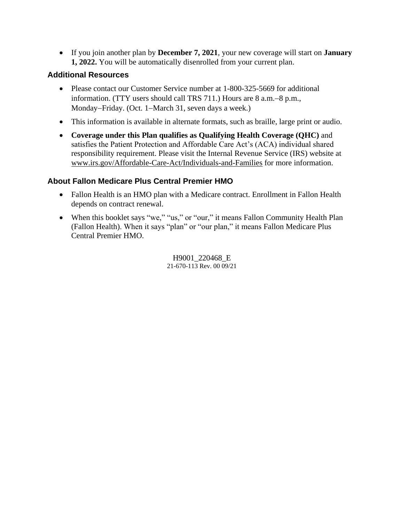If you join another plan by **December 7, 2021**, your new coverage will start on **January 1, 2022.** You will be automatically disenrolled from your current plan.

#### **Additional Resources**

- Please contact our Customer Service number at 1-800-325-5669 for additional information. (TTY users should call TRS  $711$ .) Hours are  $8$  a.m. $-8$  p.m., Monday-Friday. (Oct. 1-March 31, seven days a week.)
- This information is available in alternate formats, such as braille, large print or audio.
- **Coverage under this Plan qualifies as Qualifying Health Coverage (QHC)** and satisfies the Patient Protection and Affordable Care Act's (ACA) individual shared responsibility requirement. Please visit the Internal Revenue Service (IRS) website at [www.irs.gov/Affordable-Care-Act/Individuals-and-Families](http://www.irs.gov/Affordable-Care-Act/Individuals-and-Families) for more information.

#### **About Fallon Medicare Plus Central Premier HMO**

- Fallon Health is an HMO plan with a Medicare contract. Enrollment in Fallon Health depends on contract renewal.
- When this booklet says "we," "us," or "our," it means Fallon Community Health Plan (Fallon Health). When it says "plan" or "our plan," it means Fallon Medicare Plus Central Premier HMO.

H9001\_220468\_E 21-670-113 Rev. 00 09/21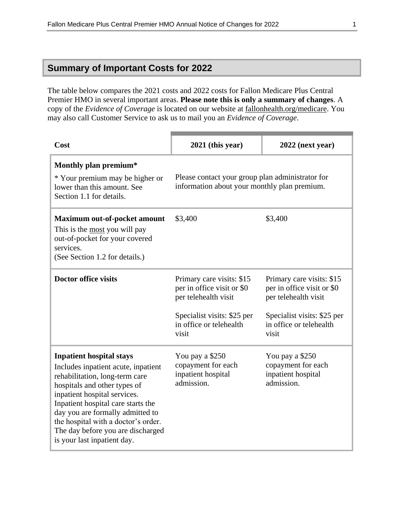### **Summary of Important Costs for 2022**

The table below compares the 2021 costs and 2022 costs for Fallon Medicare Plus Central Premier HMO in several important areas. **Please note this is only a summary of changes**. A copy of the *Evidence of Coverage* is located on our website at [fallonhealth.org/medicare.](file://///emcprd01/group/Medicare%20Programs/ANOCs/2022/FMP/fallonhealth.org/medicare) You may also call Customer Service to ask us to mail you an *Evidence of Coverage*.

| Cost                                                                                                                                                                                                                                                                                                                                                          | $2021$ (this year)                                                                                                                                 | $2022$ (next year)                                                                                                                                 |
|---------------------------------------------------------------------------------------------------------------------------------------------------------------------------------------------------------------------------------------------------------------------------------------------------------------------------------------------------------------|----------------------------------------------------------------------------------------------------------------------------------------------------|----------------------------------------------------------------------------------------------------------------------------------------------------|
| Monthly plan premium*<br>* Your premium may be higher or<br>lower than this amount. See<br>Section 1.1 for details.                                                                                                                                                                                                                                           | Please contact your group plan administrator for<br>information about your monthly plan premium.                                                   |                                                                                                                                                    |
| <b>Maximum out-of-pocket amount</b><br>This is the most you will pay<br>out-of-pocket for your covered<br>services.<br>(See Section 1.2 for details.)                                                                                                                                                                                                         | \$3,400                                                                                                                                            | \$3,400                                                                                                                                            |
| <b>Doctor office visits</b>                                                                                                                                                                                                                                                                                                                                   | Primary care visits: \$15<br>per in office visit or \$0<br>per telehealth visit<br>Specialist visits: \$25 per<br>in office or telehealth<br>visit | Primary care visits: \$15<br>per in office visit or \$0<br>per telehealth visit<br>Specialist visits: \$25 per<br>in office or telehealth<br>visit |
| <b>Inpatient hospital stays</b><br>Includes inpatient acute, inpatient<br>rehabilitation, long-term care<br>hospitals and other types of<br>inpatient hospital services.<br>Inpatient hospital care starts the<br>day you are formally admitted to<br>the hospital with a doctor's order.<br>The day before you are discharged<br>is your last inpatient day. | You pay a \$250<br>copayment for each<br>inpatient hospital<br>admission.                                                                          | You pay a \$250<br>copayment for each<br>inpatient hospital<br>admission.                                                                          |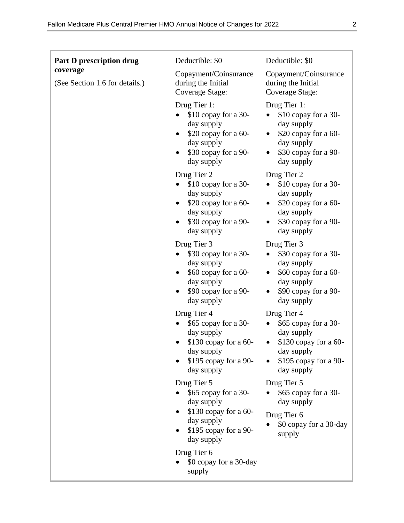| Part D prescription drug                   | Deductible: \$0                                                                                                                                          | Deductible: \$0                                                                                                                               |
|--------------------------------------------|----------------------------------------------------------------------------------------------------------------------------------------------------------|-----------------------------------------------------------------------------------------------------------------------------------------------|
| coverage<br>(See Section 1.6 for details.) | Copayment/Coinsurance<br>during the Initial<br>Coverage Stage:                                                                                           | Copayment/Coinsurance<br>during the Initial<br>Coverage Stage:                                                                                |
|                                            | Drug Tier 1:<br>\$10 copay for a 30-<br>day supply<br>\$20 copay for a 60-<br>$\bullet$<br>day supply<br>\$30 copay for a 90-<br>$\bullet$<br>day supply | Drug Tier 1:<br>\$10 copay for a 30-<br>day supply<br>\$20 copay for a 60-<br>day supply<br>\$30 copay for a 90-<br>$\bullet$<br>day supply   |
|                                            | Drug Tier 2<br>\$10 copay for a 30-<br>$\bullet$<br>day supply<br>\$20 copay for a 60-<br>٠<br>day supply<br>\$30 copay for a 90-<br>day supply          | Drug Tier 2<br>\$10 copay for a 30-<br>$\bullet$<br>day supply<br>\$20 copay for a 60-<br>day supply<br>\$30 copay for a 90-<br>day supply    |
|                                            | Drug Tier 3<br>\$30 copay for a 30-<br>day supply<br>\$60 copay for a 60-<br>day supply<br>\$90 copay for a 90-<br>day supply                            | Drug Tier 3<br>\$30 copay for a 30-<br>day supply<br>\$60 copay for a 60-<br>day supply<br>\$90 copay for a 90-<br>day supply                 |
|                                            | Drug Tier 4<br>\$65 copay for a 30-<br>day supply<br>$$130$ copay for a 60-<br>day supply<br>\$195 copay for a 90-<br>day supply                         | Drug Tier 4<br>\$65 copay for a 30-<br>day supply<br>$$130$ copay for a 60-<br>$\bullet$<br>day supply<br>\$195 copay for a 90-<br>day supply |
|                                            | Drug Tier 5<br>\$65 copay for a 30-<br>day supply<br>$$130$ copay for a 60-<br>day supply<br>\$195 copay for a 90-<br>day supply                         | Drug Tier 5<br>\$65 copay for a 30-<br>day supply<br>Drug Tier 6<br>\$0 copay for a 30-day<br>supply                                          |
|                                            | Drug Tier 6<br>\$0 copay for a 30-day<br>supply                                                                                                          |                                                                                                                                               |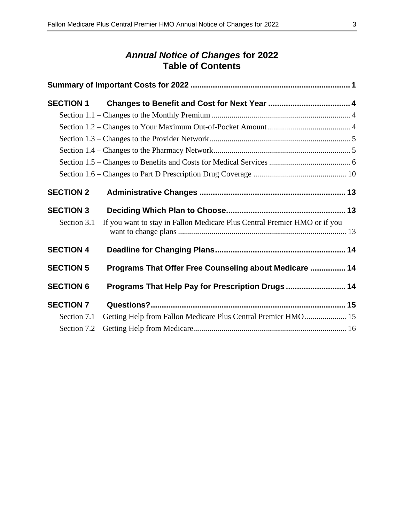### *Annual Notice of Changes* **for 2022 Table of Contents**

| <b>SECTION 1</b> |                                                                                         |  |
|------------------|-----------------------------------------------------------------------------------------|--|
|                  |                                                                                         |  |
|                  |                                                                                         |  |
|                  |                                                                                         |  |
|                  |                                                                                         |  |
|                  |                                                                                         |  |
|                  |                                                                                         |  |
| <b>SECTION 2</b> |                                                                                         |  |
| <b>SECTION 3</b> |                                                                                         |  |
|                  | Section 3.1 – If you want to stay in Fallon Medicare Plus Central Premier HMO or if you |  |
| <b>SECTION 4</b> |                                                                                         |  |
| <b>SECTION 5</b> | Programs That Offer Free Counseling about Medicare  14                                  |  |
| <b>SECTION 6</b> | Programs That Help Pay for Prescription Drugs  14                                       |  |
| <b>SECTION 7</b> |                                                                                         |  |
|                  | Section 7.1 - Getting Help from Fallon Medicare Plus Central Premier HMO 15             |  |
|                  |                                                                                         |  |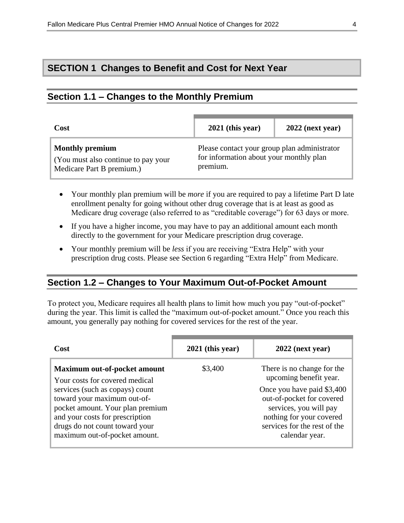### **SECTION 1 Changes to Benefit and Cost for Next Year**

### **Section 1.1 – Changes to the Monthly Premium**

| Cost                                                                                       | $2021$ (this year)                                                                                  | $2022$ (next year) |
|--------------------------------------------------------------------------------------------|-----------------------------------------------------------------------------------------------------|--------------------|
| <b>Monthly premium</b><br>(You must also continue to pay your<br>Medicare Part B premium.) | Please contact your group plan administrator<br>for information about your monthly plan<br>premium. |                    |

- Your monthly plan premium will be *more* if you are required to pay a lifetime Part D late enrollment penalty for going without other drug coverage that is at least as good as Medicare drug coverage (also referred to as "creditable coverage") for 63 days or more.
- If you have a higher income, you may have to pay an additional amount each month directly to the government for your Medicare prescription drug coverage.
- Your monthly premium will be *less* if you are receiving "Extra Help" with your prescription drug costs. Please see Section 6 regarding "Extra Help" from Medicare.

#### **Section 1.2 – Changes to Your Maximum Out-of-Pocket Amount**

To protect you, Medicare requires all health plans to limit how much you pay "out-of-pocket" during the year. This limit is called the "maximum out-of-pocket amount." Once you reach this amount, you generally pay nothing for covered services for the rest of the year.

| Cost                                                                                                                                                                                                     | $2021$ (this year) | $2022$ (next year)                                                                                                                                              |
|----------------------------------------------------------------------------------------------------------------------------------------------------------------------------------------------------------|--------------------|-----------------------------------------------------------------------------------------------------------------------------------------------------------------|
| Maximum out-of-pocket amount<br>Your costs for covered medical                                                                                                                                           | \$3,400            | There is no change for the<br>upcoming benefit year.                                                                                                            |
| services (such as copays) count<br>toward your maximum out-of-<br>pocket amount. Your plan premium<br>and your costs for prescription<br>drugs do not count toward your<br>maximum out-of-pocket amount. |                    | Once you have paid \$3,400<br>out-of-pocket for covered<br>services, you will pay<br>nothing for your covered<br>services for the rest of the<br>calendar year. |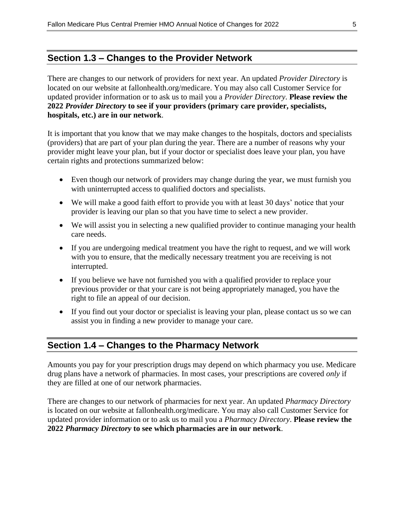### **Section 1.3 – Changes to the Provider Network**

There are changes to our network of providers for next year. An updated *Provider Directory* is located on our website at fallonhealth.org/medicare. You may also call Customer Service for updated provider information or to ask us to mail you a *Provider Directory*. **Please review the 2022** *Provider Directory* **to see if your providers (primary care provider, specialists, hospitals, etc.) are in our network**.

It is important that you know that we may make changes to the hospitals, doctors and specialists (providers) that are part of your plan during the year. There are a number of reasons why your provider might leave your plan, but if your doctor or specialist does leave your plan, you have certain rights and protections summarized below:

- Even though our network of providers may change during the year, we must furnish you with uninterrupted access to qualified doctors and specialists.
- We will make a good faith effort to provide you with at least 30 days' notice that your provider is leaving our plan so that you have time to select a new provider.
- We will assist you in selecting a new qualified provider to continue managing your health care needs.
- If you are undergoing medical treatment you have the right to request, and we will work with you to ensure, that the medically necessary treatment you are receiving is not interrupted.
- If you believe we have not furnished you with a qualified provider to replace your previous provider or that your care is not being appropriately managed, you have the right to file an appeal of our decision.
- If you find out your doctor or specialist is leaving your plan, please contact us so we can assist you in finding a new provider to manage your care.

### **Section 1.4 – Changes to the Pharmacy Network**

Amounts you pay for your prescription drugs may depend on which pharmacy you use. Medicare drug plans have a network of pharmacies. In most cases, your prescriptions are covered *only* if they are filled at one of our network pharmacies.

There are changes to our network of pharmacies for next year. An updated *Pharmacy Directory* is located on our website at fallonhealth.org/medicare. You may also call Customer Service for updated provider information or to ask us to mail you a *Pharmacy Directory*. **Please review the 2022** *Pharmacy Directory* **to see which pharmacies are in our network**.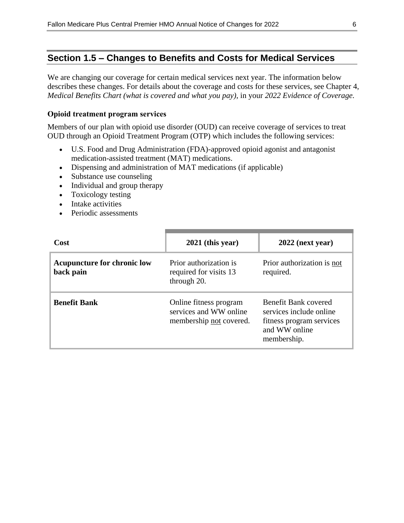### **Section 1.5 – Changes to Benefits and Costs for Medical Services**

We are changing our coverage for certain medical services next year. The information below describes these changes. For details about the coverage and costs for these services, see Chapter 4, *Medical Benefits Chart (what is covered and what you pay)*, in your *2022 Evidence of Coverage.*

#### **Opioid treatment program services**

Members of our plan with opioid use disorder (OUD) can receive coverage of services to treat OUD through an Opioid Treatment Program (OTP) which includes the following services:

- U.S. Food and Drug Administration (FDA)-approved opioid agonist and antagonist medication-assisted treatment (MAT) medications.
- Dispensing and administration of MAT medications (if applicable)
- Substance use counseling
- Individual and group therapy
- Toxicology testing
- Intake activities
- Periodic assessments

| Cost                                            | $2021$ (this year)                                                          | $2022$ (next year)                                                                                          |
|-------------------------------------------------|-----------------------------------------------------------------------------|-------------------------------------------------------------------------------------------------------------|
| <b>Acupuncture for chronic low</b><br>back pain | Prior authorization is<br>required for visits 13<br>through 20.             | Prior authorization is not<br>required.                                                                     |
| <b>Benefit Bank</b>                             | Online fitness program<br>services and WW online<br>membership not covered. | Benefit Bank covered<br>services include online<br>fitness program services<br>and WW online<br>membership. |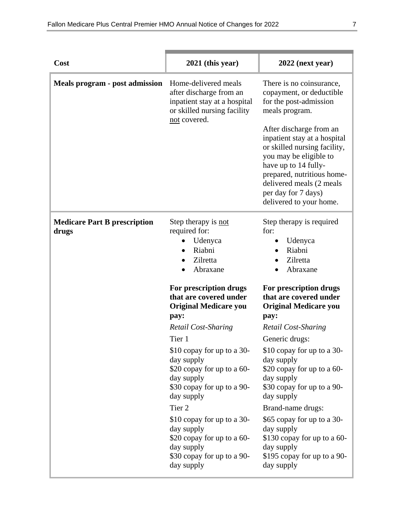| Cost                                         | $2021$ (this year)                                                                                                                         | $2022$ (next year)                                                                                                                                                                                                                                    |
|----------------------------------------------|--------------------------------------------------------------------------------------------------------------------------------------------|-------------------------------------------------------------------------------------------------------------------------------------------------------------------------------------------------------------------------------------------------------|
| Meals program - post admission               | Home-delivered meals<br>after discharge from an<br>inpatient stay at a hospital<br>or skilled nursing facility<br>not covered.             | There is no coinsurance,<br>copayment, or deductible<br>for the post-admission<br>meals program.                                                                                                                                                      |
|                                              |                                                                                                                                            | After discharge from an<br>inpatient stay at a hospital<br>or skilled nursing facility,<br>you may be eligible to<br>have up to 14 fully-<br>prepared, nutritious home-<br>delivered meals (2 meals<br>per day for 7 days)<br>delivered to your home. |
| <b>Medicare Part B prescription</b><br>drugs | Step therapy is not<br>required for:<br>Udenyca<br>Riabni<br>Zilretta<br>Abraxane                                                          | Step therapy is required<br>for:<br>Udenyca<br>$\bullet$<br>Riabni<br>Zilretta<br>Abraxane                                                                                                                                                            |
|                                              | For prescription drugs<br>that are covered under<br><b>Original Medicare you</b><br>pay:                                                   | For prescription drugs<br>that are covered under<br><b>Original Medicare you</b><br>pay:                                                                                                                                                              |
|                                              | Retail Cost-Sharing                                                                                                                        | <b>Retail Cost-Sharing</b>                                                                                                                                                                                                                            |
|                                              | Tier 1<br>\$10 copay for up to a 30-<br>day supply<br>\$20 copay for up to a 60-<br>day supply<br>\$30 copay for up to a 90-<br>day supply | Generic drugs:<br>\$10 copay for up to a 30-<br>day supply<br>\$20 copay for up to a 60-<br>day supply<br>\$30 copay for up to a 90-<br>day supply                                                                                                    |
|                                              | Tier 2<br>\$10 copay for up to a 30-<br>day supply<br>\$20 copay for up to a 60-<br>day supply<br>\$30 copay for up to a 90-<br>day supply | Brand-name drugs:<br>\$65 copay for up to a 30-<br>day supply<br>\$130 copay for up to a 60-<br>day supply<br>\$195 copay for up to a 90-<br>day supply                                                                                               |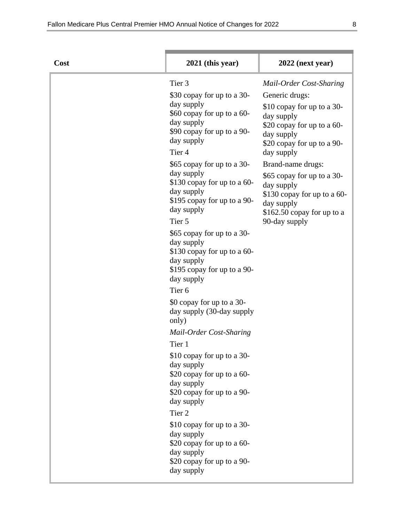| Cost | $2021$ (this year)                                                                                                                                    | 2022 (next year)                                                                                                                 |
|------|-------------------------------------------------------------------------------------------------------------------------------------------------------|----------------------------------------------------------------------------------------------------------------------------------|
|      | Tier 3                                                                                                                                                | Mail-Order Cost-Sharing                                                                                                          |
|      | \$30 copay for up to a 30-                                                                                                                            | Generic drugs:                                                                                                                   |
|      | day supply<br>\$60 copay for up to a 60-<br>day supply<br>\$90 copay for up to a 90-<br>day supply<br>Tier <sub>4</sub>                               | \$10 copay for up to a 30-<br>day supply<br>\$20 copay for up to a 60-<br>day supply<br>\$20 copay for up to a 90-<br>day supply |
|      | \$65 copay for up to a 30-                                                                                                                            | Brand-name drugs:                                                                                                                |
|      | day supply<br>\$130 copay for up to a 60-<br>day supply<br>\$195 copay for up to a 90-<br>day supply                                                  | \$65 copay for up to a 30-<br>day supply<br>\$130 copay for up to a 60-<br>day supply<br>$$162.50$ copay for up to a             |
|      | Tier 5                                                                                                                                                | 90-day supply                                                                                                                    |
|      | \$65 copay for up to a 30-<br>day supply<br>\$130 copay for up to a 60-<br>day supply<br>\$195 copay for up to a 90-<br>day supply                    |                                                                                                                                  |
|      | Tier <sub>6</sub>                                                                                                                                     |                                                                                                                                  |
|      | \$0 copay for up to a 30-<br>day supply (30-day supply<br>only)                                                                                       |                                                                                                                                  |
|      | Mail-Order Cost-Sharing                                                                                                                               |                                                                                                                                  |
|      | Tier 1                                                                                                                                                |                                                                                                                                  |
|      | \$10 copay for up to a 30-<br>day supply<br>\$20 copay for up to a 60-<br>day supply<br>\$20 copay for up to a 90-<br>day supply<br>Tier <sub>2</sub> |                                                                                                                                  |
|      | \$10 copay for up to a 30-<br>day supply<br>\$20 copay for up to a 60-<br>day supply<br>\$20 copay for up to a 90-<br>day supply                      |                                                                                                                                  |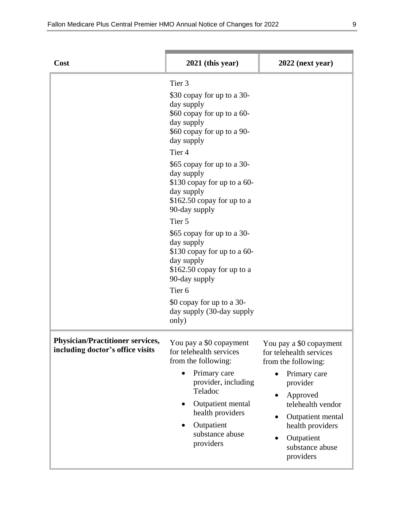| Cost                                                                        | $2021$ (this year)                                                                                                                                                                                                              | $2022$ (next year)                                                                                                                                                                                               |
|-----------------------------------------------------------------------------|---------------------------------------------------------------------------------------------------------------------------------------------------------------------------------------------------------------------------------|------------------------------------------------------------------------------------------------------------------------------------------------------------------------------------------------------------------|
|                                                                             | Tier <sub>3</sub><br>\$30 copay for up to a 30-<br>day supply<br>\$60 copay for up to a 60-<br>day supply<br>\$60 copay for up to a 90-<br>day supply                                                                           |                                                                                                                                                                                                                  |
|                                                                             | Tier <sub>4</sub><br>\$65 copay for up to a 30-<br>day supply<br>\$130 copay for up to a 60-<br>day supply<br>$$162.50$ copay for up to a<br>90-day supply                                                                      |                                                                                                                                                                                                                  |
|                                                                             | Tier 5<br>\$65 copay for up to a 30-<br>day supply<br>\$130 copay for up to a 60-<br>day supply<br>$$162.50$ copay for up to a<br>90-day supply                                                                                 |                                                                                                                                                                                                                  |
|                                                                             | Tier <sub>6</sub><br>\$0 copay for up to a 30-<br>day supply (30-day supply<br>only)                                                                                                                                            |                                                                                                                                                                                                                  |
| <b>Physician/Practitioner services,</b><br>including doctor's office visits | You pay a \$0 copayment<br>for telehealth services<br>from the following:<br>Primary care<br>$\bullet$<br>provider, including<br>Teladoc<br>Outpatient mental<br>health providers<br>Outpatient<br>substance abuse<br>providers | You pay a \$0 copayment<br>for telehealth services<br>from the following:<br>Primary care<br>provider<br>Approved<br>telehealth vendor<br>Outpatient mental<br>health providers<br>Outpatient<br>substance abuse |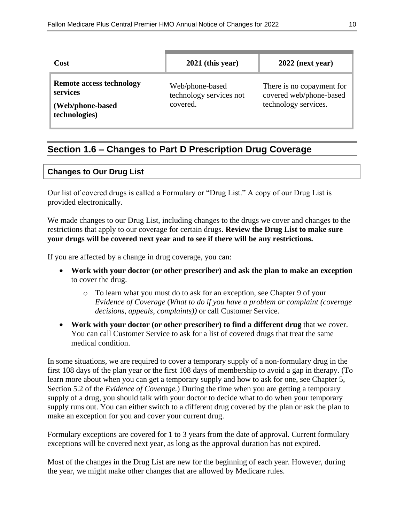| Cost                                                                             | $2021$ (this year)                                     | $2022$ (next year)                                                           |
|----------------------------------------------------------------------------------|--------------------------------------------------------|------------------------------------------------------------------------------|
| <b>Remote access technology</b><br>services<br>(Web/phone-based<br>technologies) | Web/phone-based<br>technology services not<br>covered. | There is no copayment for<br>covered web/phone-based<br>technology services. |

### **Section 1.6 – Changes to Part D Prescription Drug Coverage**

#### **Changes to Our Drug List**

Our list of covered drugs is called a Formulary or "Drug List." A copy of our Drug List is provided electronically.

We made changes to our Drug List, including changes to the drugs we cover and changes to the restrictions that apply to our coverage for certain drugs. **Review the Drug List to make sure your drugs will be covered next year and to see if there will be any restrictions.**

If you are affected by a change in drug coverage, you can:

- **Work with your doctor (or other prescriber) and ask the plan to make an exception** to cover the drug.
	- o To learn what you must do to ask for an exception, see Chapter 9 of your *E*v*idence of Coverage* (*What to do if you have a problem or complaint (coverage decisions, appeals, complaints))* or call Customer Service.
- **Work with your doctor (or other prescriber) to find a different drug** that we cover. You can call Customer Service to ask for a list of covered drugs that treat the same medical condition.

In some situations, we are required to cover a temporary supply of a non-formulary drug in the first 108 days of the plan year or the first 108 days of membership to avoid a gap in therapy. (To learn more about when you can get a temporary supply and how to ask for one, see Chapter 5, Section 5.2 of the *Evidence of Coverage.*) During the time when you are getting a temporary supply of a drug, you should talk with your doctor to decide what to do when your temporary supply runs out. You can either switch to a different drug covered by the plan or ask the plan to make an exception for you and cover your current drug.

Formulary exceptions are covered for 1 to 3 years from the date of approval. Current formulary exceptions will be covered next year, as long as the approval duration has not expired.

Most of the changes in the Drug List are new for the beginning of each year. However, during the year, we might make other changes that are allowed by Medicare rules.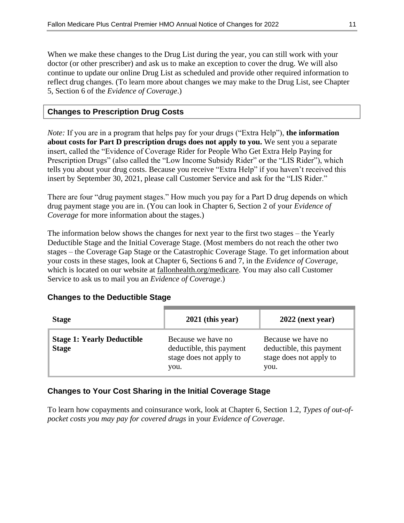When we make these changes to the Drug List during the year, you can still work with your doctor (or other prescriber) and ask us to make an exception to cover the drug. We will also continue to update our online Drug List as scheduled and provide other required information to reflect drug changes. (To learn more about changes we may make to the Drug List, see Chapter 5, Section 6 of the *Evidence of Coverage*.)

#### **Changes to Prescription Drug Costs**

*Note:* If you are in a program that helps pay for your drugs ("Extra Help"), **the information about costs for Part D prescription drugs does not apply to you.** We sent you a separate insert, called the "Evidence of Coverage Rider for People Who Get Extra Help Paying for Prescription Drugs" (also called the "Low Income Subsidy Rider" or the "LIS Rider"), which tells you about your drug costs. Because you receive "Extra Help" if you haven't received this insert by September 30, 2021, please call Customer Service and ask for the "LIS Rider."

There are four "drug payment stages." How much you pay for a Part D drug depends on which drug payment stage you are in. (You can look in Chapter 6, Section 2 of your *Evidence of Coverage* for more information about the stages.)

The information below shows the changes for next year to the first two stages – the Yearly Deductible Stage and the Initial Coverage Stage. (Most members do not reach the other two stages – the Coverage Gap Stage or the Catastrophic Coverage Stage. To get information about your costs in these stages, look at Chapter 6, Sections 6 and 7, in the *Evidence of Coverage*, which is located on our website at fallonhealth.org/medicare. You may also call Customer Service to ask us to mail you an *Evidence of Coverage*.)

#### **Changes to the Deductible Stage**

| <b>Stage</b>                                      | $2021$ (this year)                                                                | $2022$ (next year)                                                                |
|---------------------------------------------------|-----------------------------------------------------------------------------------|-----------------------------------------------------------------------------------|
| <b>Stage 1: Yearly Deductible</b><br><b>Stage</b> | Because we have no<br>deductible, this payment<br>stage does not apply to<br>you. | Because we have no<br>deductible, this payment<br>stage does not apply to<br>you. |

#### **Changes to Your Cost Sharing in the Initial Coverage Stage**

To learn how copayments and coinsurance work, look at Chapter 6, Section 1.2, *Types of out-ofpocket costs you may pay for covered drugs* in your *Evidence of Coverage*.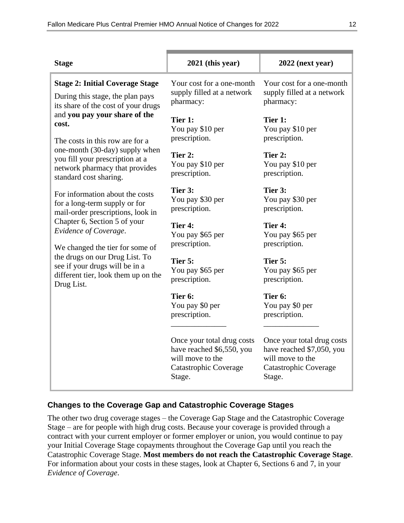| <b>Stage</b>                                                                                                                  | $2021$ (this year)                                                                                                    | $2022$ (next year)                                                                                             |
|-------------------------------------------------------------------------------------------------------------------------------|-----------------------------------------------------------------------------------------------------------------------|----------------------------------------------------------------------------------------------------------------|
| <b>Stage 2: Initial Coverage Stage</b><br>During this stage, the plan pays<br>its share of the cost of your drugs             | Your cost for a one-month<br>supply filled at a network<br>pharmacy:                                                  | Your cost for a one-month<br>supply filled at a network<br>pharmacy:                                           |
| and you pay your share of the<br>cost.<br>The costs in this row are for a                                                     | Tier 1:<br>You pay \$10 per<br>prescription.                                                                          | Tier 1:<br>You pay \$10 per<br>prescription.                                                                   |
| one-month (30-day) supply when<br>you fill your prescription at a<br>network pharmacy that provides<br>standard cost sharing. | Tier 2:<br>You pay \$10 per<br>prescription.                                                                          | Tier 2:<br>You pay \$10 per<br>prescription.                                                                   |
| For information about the costs<br>for a long-term supply or for<br>mail-order prescriptions, look in                         | Tier 3:<br>You pay \$30 per<br>prescription.                                                                          | Tier 3:<br>You pay \$30 per<br>prescription.                                                                   |
| Chapter 6, Section 5 of your<br>Evidence of Coverage.<br>We changed the tier for some of                                      | Tier 4:<br>You pay \$65 per<br>prescription.                                                                          | Tier 4:<br>You pay \$65 per<br>prescription.                                                                   |
| the drugs on our Drug List. To<br>see if your drugs will be in a<br>different tier, look them up on the<br>Drug List.         | Tier 5:<br>You pay \$65 per<br>prescription.                                                                          | Tier 5:<br>You pay \$65 per<br>prescription.                                                                   |
|                                                                                                                               | Tier 6:<br>You pay \$0 per<br>prescription.                                                                           | Tier 6:<br>You pay \$0 per<br>prescription.                                                                    |
|                                                                                                                               | Once your total drug costs<br>have reached \$6,550, you<br>will move to the<br><b>Catastrophic Coverage</b><br>Stage. | Once your total drug costs<br>have reached \$7,050, you<br>will move to the<br>Catastrophic Coverage<br>Stage. |

### **Changes to the Coverage Gap and Catastrophic Coverage Stages**

The other two drug coverage stages – the Coverage Gap Stage and the Catastrophic Coverage Stage – are for people with high drug costs. Because your coverage is provided through a contract with your current employer or former employer or union, you would continue to pay your Initial Coverage Stage copayments throughout the Coverage Gap until you reach the Catastrophic Coverage Stage. **Most members do not reach the Catastrophic Coverage Stage**. For information about your costs in these stages, look at Chapter 6, Sections 6 and 7, in your *Evidence of Coverage*.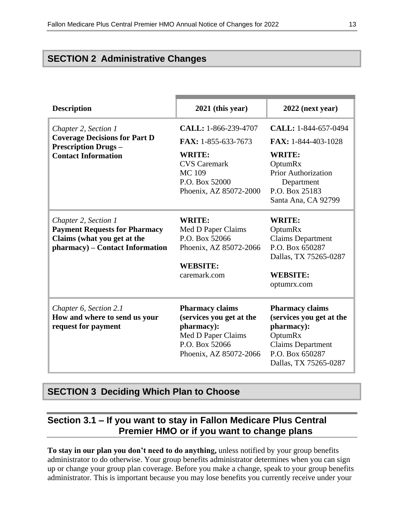### **SECTION 2 Administrative Changes**

| <b>Description</b>                                                                                                        | 2021 (this year)                 | $2022$ (next year)         |
|---------------------------------------------------------------------------------------------------------------------------|----------------------------------|----------------------------|
| Chapter 2, Section 1<br><b>Coverage Decisions for Part D</b><br><b>Prescription Drugs -</b><br><b>Contact Information</b> | CALL: 1-866-239-4707             | CALL: 1-844-657-0494       |
|                                                                                                                           | FAX: 1-855-633-7673              | FAX: 1-844-403-1028        |
|                                                                                                                           | <b>WRITE:</b>                    | <b>WRITE:</b>              |
|                                                                                                                           | <b>CVS</b> Caremark              | OptumRx                    |
|                                                                                                                           | <b>MC109</b>                     | <b>Prior Authorization</b> |
|                                                                                                                           | P.O. Box 52000                   | Department                 |
|                                                                                                                           | Phoenix, AZ 85072-2000           | P.O. Box 25183             |
|                                                                                                                           |                                  | Santa Ana, CA 92799        |
| Chapter 2, Section 1                                                                                                      | <b>WRITE:</b>                    | <b>WRITE:</b>              |
| <b>Payment Requests for Pharmacy</b>                                                                                      | Med D Paper Claims               | OptumRx                    |
| Claims (what you get at the                                                                                               | P.O. Box 52066                   | <b>Claims Department</b>   |
| pharmacy) – Contact Information                                                                                           | Phoenix, AZ 85072-2066           | P.O. Box 650287            |
|                                                                                                                           |                                  | Dallas, TX 75265-0287      |
|                                                                                                                           | <b>WEBSITE:</b>                  |                            |
|                                                                                                                           | caremark.com                     | <b>WEBSITE:</b>            |
|                                                                                                                           |                                  | optumrx.com                |
|                                                                                                                           |                                  |                            |
| Chapter 6, Section 2.1                                                                                                    | <b>Pharmacy claims</b>           | <b>Pharmacy claims</b>     |
| How and where to send us your                                                                                             | (services you get at the         | (services you get at the   |
| request for payment                                                                                                       | pharmacy):<br>Med D Paper Claims | pharmacy):<br>OptumRx      |
|                                                                                                                           | P.O. Box 52066                   | <b>Claims Department</b>   |
|                                                                                                                           | Phoenix, AZ 85072-2066           | P.O. Box 650287            |
|                                                                                                                           |                                  | Dallas, TX 75265-0287      |
|                                                                                                                           |                                  |                            |

### **SECTION 3 Deciding Which Plan to Choose**

### **Section 3.1 – If you want to stay in Fallon Medicare Plus Central Premier HMO or if you want to change plans**

**To stay in our plan you don't need to do anything,** unless notified by your group benefits administrator to do otherwise. Your group benefits administrator determines when you can sign up or change your group plan coverage. Before you make a change, speak to your group benefits administrator. This is important because you may lose benefits you currently receive under your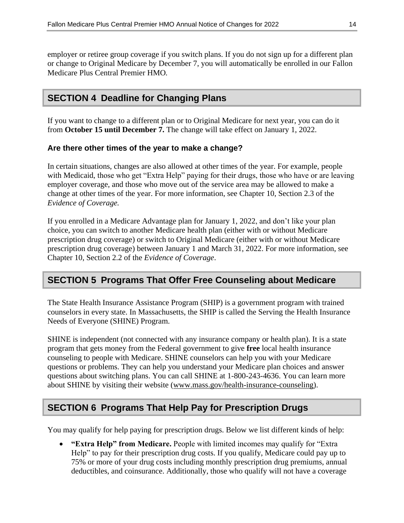employer or retiree group coverage if you switch plans. If you do not sign up for a different plan or change to Original Medicare by December 7, you will automatically be enrolled in our Fallon Medicare Plus Central Premier HMO*.*

### **SECTION 4 Deadline for Changing Plans**

If you want to change to a different plan or to Original Medicare for next year, you can do it from **October 15 until December 7.** The change will take effect on January 1, 2022.

#### **Are there other times of the year to make a change?**

In certain situations, changes are also allowed at other times of the year. For example, people with Medicaid, those who get "Extra Help" paying for their drugs, those who have or are leaving employer coverage, and those who move out of the service area may be allowed to make a change at other times of the year. For more information, see Chapter 10, Section 2.3 of the *Evidence of Coverage.*

If you enrolled in a Medicare Advantage plan for January 1, 2022, and don't like your plan choice, you can switch to another Medicare health plan (either with or without Medicare prescription drug coverage) or switch to Original Medicare (either with or without Medicare prescription drug coverage) between January 1 and March 31, 2022. For more information, see Chapter 10, Section 2.2 of the *Evidence of Coverage*.

### **SECTION 5 Programs That Offer Free Counseling about Medicare**

The State Health Insurance Assistance Program (SHIP) is a government program with trained counselors in every state. In Massachusetts, the SHIP is called the Serving the Health Insurance Needs of Everyone (SHINE) Program.

SHINE is independent (not connected with any insurance company or health plan). It is a state program that gets money from the Federal government to give **free** local health insurance counseling to people with Medicare. SHINE counselors can help you with your Medicare questions or problems. They can help you understand your Medicare plan choices and answer questions about switching plans. You can call SHINE at 1-800-243-4636. You can learn more about SHINE by visiting their website [\(www.mass.gov/health-insurance-counseling\)](file://///emcprd01/GROUP/Medicare%20Programs/ANOCs/2021/Templates/Fallon%20Medicare%20Plus/www.mass.gov/health-insurance-counseling).

### **SECTION 6 Programs That Help Pay for Prescription Drugs**

You may qualify for help paying for prescription drugs. Below we list different kinds of help:

 **"Extra Help" from Medicare.** People with limited incomes may qualify for "Extra Help" to pay for their prescription drug costs. If you qualify, Medicare could pay up to 75% or more of your drug costs including monthly prescription drug premiums, annual deductibles, and coinsurance. Additionally, those who qualify will not have a coverage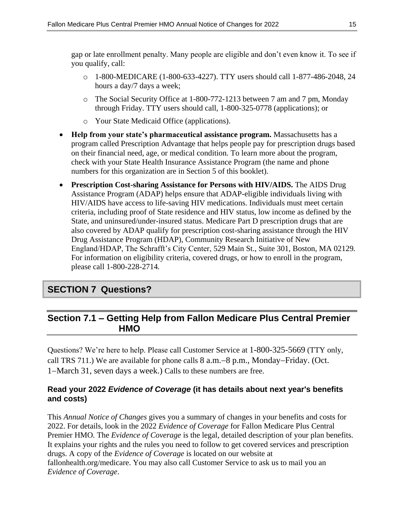gap or late enrollment penalty. Many people are eligible and don't even know it. To see if you qualify, call:

- o 1-800-MEDICARE (1-800-633-4227). TTY users should call 1-877-486-2048, 24 hours a day/7 days a week;
- o The Social Security Office at 1-800-772-1213 between 7 am and 7 pm, Monday through Friday. TTY users should call, 1-800-325-0778 (applications); or
- o Your State Medicaid Office (applications).
- **Help from your state's pharmaceutical assistance program.** Massachusetts has a program called Prescription Advantage that helps people pay for prescription drugs based on their financial need, age, or medical condition*.* To learn more about the program, check with your State Health Insurance Assistance Program (the name and phone numbers for this organization are in Section 5 of this booklet).
- **Prescription Cost-sharing Assistance for Persons with HIV/AIDS.** The AIDS Drug Assistance Program (ADAP) helps ensure that ADAP-eligible individuals living with HIV/AIDS have access to life-saving HIV medications. Individuals must meet certain criteria, including proof of State residence and HIV status, low income as defined by the State, and uninsured/under-insured status. Medicare Part D prescription drugs that are also covered by ADAP qualify for prescription cost-sharing assistance through the HIV Drug Assistance Program (HDAP), Community Research Initiative of New England/HDAP, The Schrafft's City Center, 529 Main St., Suite 301, Boston, MA 02129*.* For information on eligibility criteria, covered drugs, or how to enroll in the program, please call 1-800-228-2714*.*

### **SECTION 7 Questions?**

### **Section 7.1 – Getting Help from Fallon Medicare Plus Central Premier HMO**

Questions? We're here to help. Please call Customer Service at 1-800-325-5669 (TTY only, call TRS 711.) We are available for phone calls  $8$  a.m.  $-8$  p.m., Monday-Friday. (Oct. 1–March 31, seven days a week.) Calls to these numbers are free.

#### **Read your 2022** *Evidence of Coverage* **(it has details about next year's benefits and costs)**

This *Annual Notice of Changes* gives you a summary of changes in your benefits and costs for 2022. For details, look in the 2022 *Evidence of Coverage* for Fallon Medicare Plus Central Premier HMO*.* The *Evidence of Coverage* is the legal, detailed description of your plan benefits. It explains your rights and the rules you need to follow to get covered services and prescription drugs. A copy of the *Evidence of Coverage* is located on our website at fallonhealth.org/medicare. You may also call Customer Service to ask us to mail you an *Evidence of Coverage*.